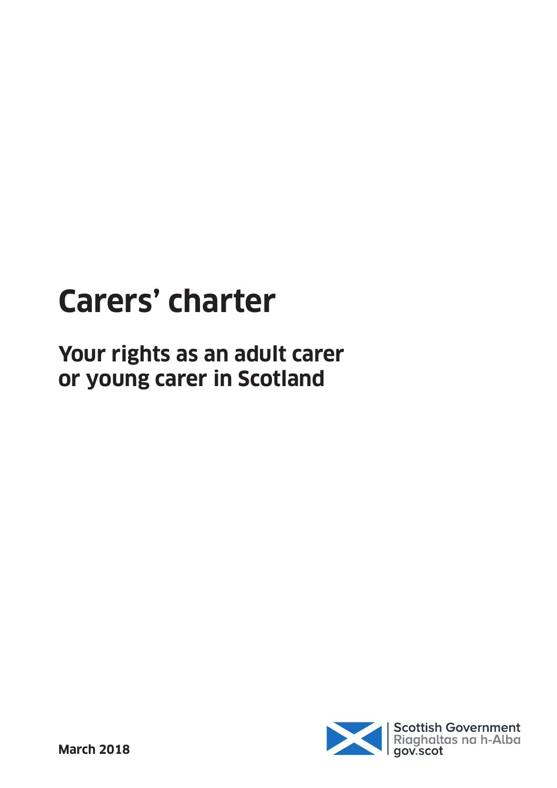# **Carers' charter**

**Your rights as an adult carer or young carer in Scotland**

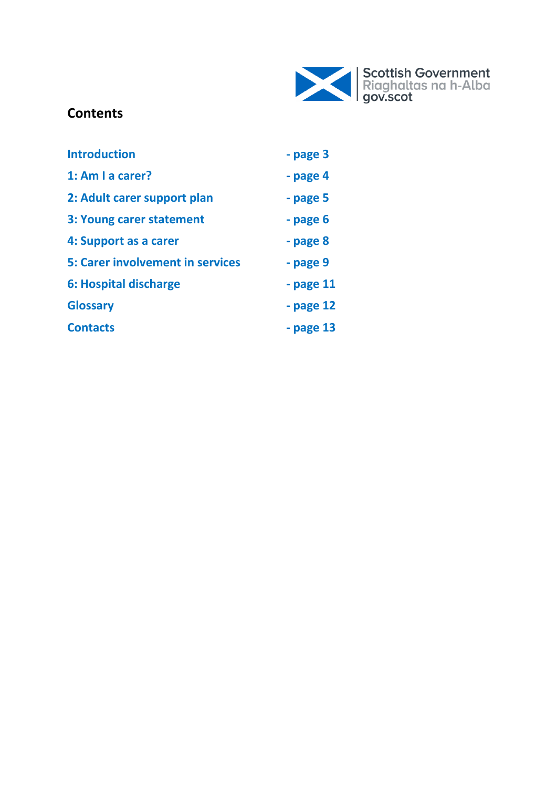

## **Contents**

| <b>Introduction</b>                     | - page 3      |
|-----------------------------------------|---------------|
| 1: Am I a carer?                        | - page 4      |
| 2: Adult carer support plan             | - page 5      |
| 3: Young carer statement                | - page 6      |
| 4: Support as a carer                   | - page 8      |
| <b>5: Carer involvement in services</b> | - page 9      |
| 6: Hospital discharge                   | $-$ page $11$ |
| <b>Glossary</b>                         | - page 12     |
| <b>Contacts</b>                         | - page 13     |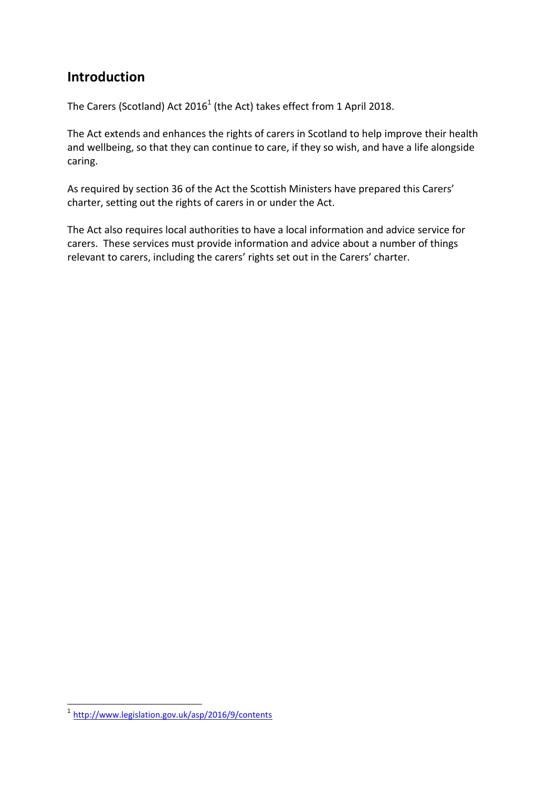## **Introduction**

The Carers (Scotland) Act 2016<sup>1</sup> (the Act) takes effect from 1 April 2018.

The Act extends and enhances the rights of carers in Scotland to help improve their health and wellbeing, so that they can continue to care, if they so wish, and have a life alongside caring.

As required by section 36 of the Act the Scottish Ministers have prepared this Carers' charter, setting out the rights of carers in or under the Act.

The Act also requires local authorities to have a local information and advice service for carers. These services must provide information and advice about a number of things relevant to carers, including the carers' rights set out in the Carers' charter.

 1 <http://www.legislation.gov.uk/asp/2016/9/contents>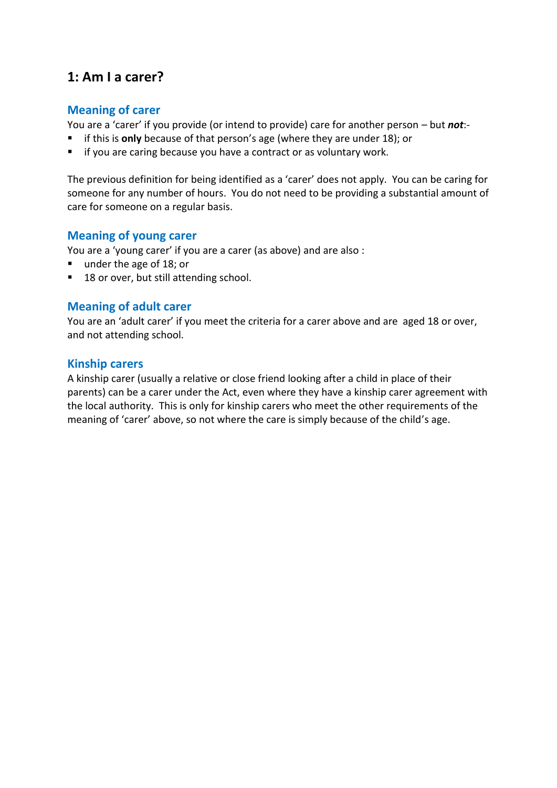## **1: Am I a carer?**

#### **Meaning of carer**

You are a 'carer' if you provide (or intend to provide) care for another person – but *not*:-

- **F** if this is **only** because of that person's age (where they are under 18); or
- $\blacksquare$  if you are caring because you have a contract or as voluntary work.

The previous definition for being identified as a 'carer' does not apply. You can be caring for someone for any number of hours. You do not need to be providing a substantial amount of care for someone on a regular basis.

#### **Meaning of young carer**

You are a 'young carer' if you are a carer (as above) and are also :

- under the age of 18; or
- 18 or over, but still attending school.

#### **Meaning of adult carer**

You are an 'adult carer' if you meet the criteria for a carer above and are aged 18 or over, and not attending school.

#### **Kinship carers**

A kinship carer (usually a relative or close friend looking after a child in place of their parents) can be a carer under the Act, even where they have a kinship carer agreement with the local authority. This is only for kinship carers who meet the other requirements of the meaning of 'carer' above, so not where the care is simply because of the child's age.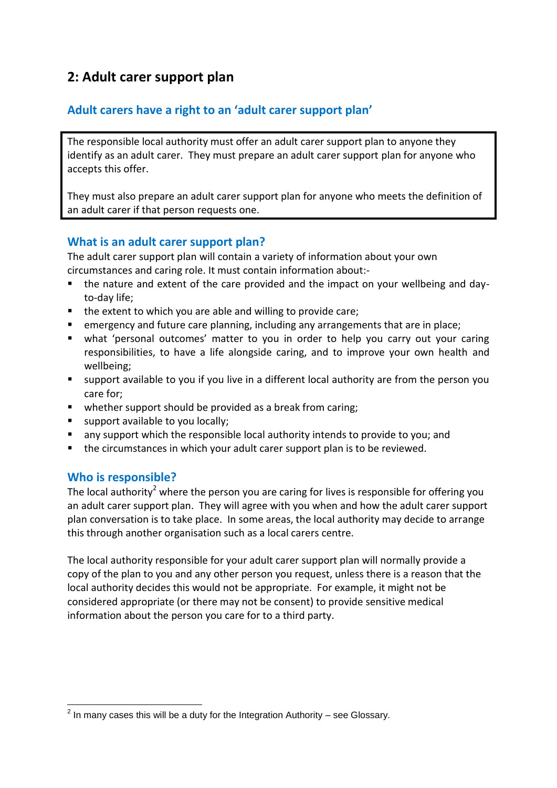## **2: Adult carer support plan**

### **Adult carers have a right to an 'adult carer support plan'**

The responsible local authority must offer an adult carer support plan to anyone they identify as an adult carer. They must prepare an adult carer support plan for anyone who accepts this offer.

They must also prepare an adult carer support plan for anyone who meets the definition of an adult carer if that person requests one.

#### **What is an adult carer support plan?**

The adult carer support plan will contain a variety of information about your own circumstances and caring role. It must contain information about:-

- the nature and extent of the care provided and the impact on your wellbeing and dayto-day life;
- the extent to which you are able and willing to provide care;
- emergency and future care planning, including any arrangements that are in place;
- what 'personal outcomes' matter to you in order to help you carry out your caring responsibilities, to have a life alongside caring, and to improve your own health and wellbeing;
- support available to you if you live in a different local authority are from the person you care for;
- whether support should be provided as a break from caring;
- support available to you locally;
- **n** any support which the responsible local authority intends to provide to you; and
- the circumstances in which your adult carer support plan is to be reviewed.

#### **Who is responsible?**

The local authority<sup>2</sup> where the person you are caring for lives is responsible for offering you an adult carer support plan. They will agree with you when and how the adult carer support plan conversation is to take place. In some areas, the local authority may decide to arrange this through another organisation such as a local carers centre.

The local authority responsible for your adult carer support plan will normally provide a copy of the plan to you and any other person you request, unless there is a reason that the local authority decides this would not be appropriate. For example, it might not be considered appropriate (or there may not be consent) to provide sensitive medical information about the person you care for to a third party.

 2 In many cases this will be a duty for the Integration Authority – see Glossary.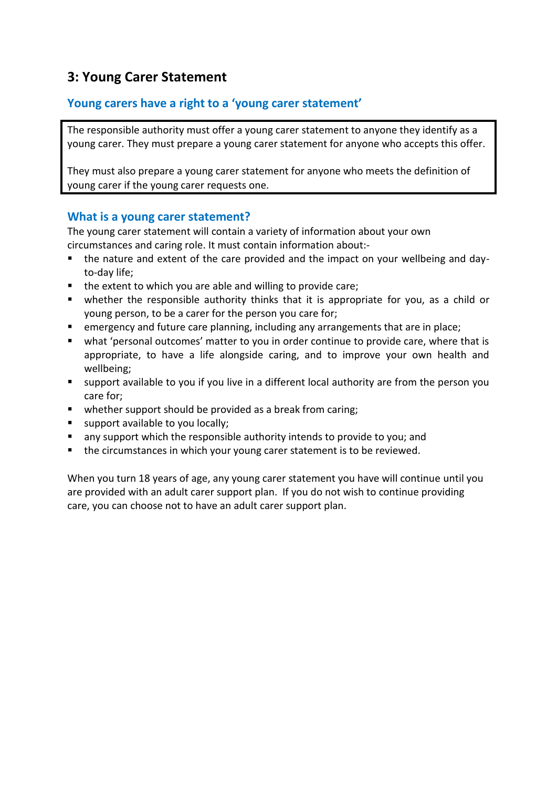## **3: Young Carer Statement**

#### **Young carers have a right to a 'young carer statement'**

The responsible authority must offer a young carer statement to anyone they identify as a young carer. They must prepare a young carer statement for anyone who accepts this offer.

They must also prepare a young carer statement for anyone who meets the definition of young carer if the young carer requests one.

#### **What is a young carer statement?**

The young carer statement will contain a variety of information about your own circumstances and caring role. It must contain information about:-

- the nature and extent of the care provided and the impact on your wellbeing and dayto-day life;
- the extent to which you are able and willing to provide care;
- whether the responsible authority thinks that it is appropriate for you, as a child or young person, to be a carer for the person you care for;
- emergency and future care planning, including any arrangements that are in place;
- what 'personal outcomes' matter to you in order continue to provide care, where that is appropriate, to have a life alongside caring, and to improve your own health and wellbeing;
- support available to you if you live in a different local authority are from the person you care for;
- **•** whether support should be provided as a break from caring;
- support available to you locally;
- any support which the responsible authority intends to provide to you; and
- **the circumstances in which your young carer statement is to be reviewed.**

When you turn 18 years of age, any young carer statement you have will continue until you are provided with an adult carer support plan. If you do not wish to continue providing care, you can choose not to have an adult carer support plan.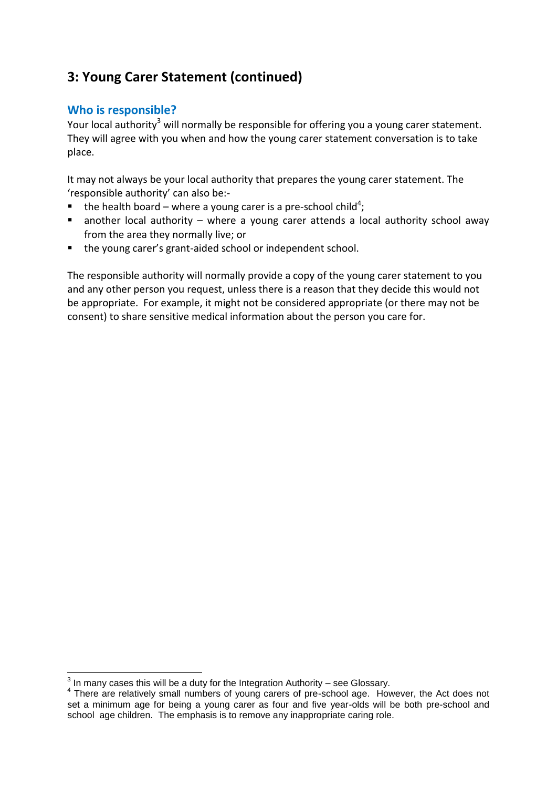## **3: Young Carer Statement (continued)**

#### **Who is responsible?**

Your local authority<sup>3</sup> will normally be responsible for offering you a young carer statement. They will agree with you when and how the young carer statement conversation is to take place.

It may not always be your local authority that prepares the young carer statement. The 'responsible authority' can also be:-

- $\blacksquare$  the health board where a young carer is a pre-school child<sup>4</sup>;
- **a** another local authority where a young carer attends a local authority school away from the area they normally live; or
- the young carer's grant-aided school or independent school.

The responsible authority will normally provide a copy of the young carer statement to you and any other person you request, unless there is a reason that they decide this would not be appropriate. For example, it might not be considered appropriate (or there may not be consent) to share sensitive medical information about the person you care for.

 3 In many cases this will be a duty for the Integration Authority – see Glossary.

<sup>&</sup>lt;sup>4</sup> There are relatively small numbers of young carers of pre-school age. However, the Act does not set a minimum age for being a young carer as four and five year-olds will be both pre-school and school age children. The emphasis is to remove any inappropriate caring role.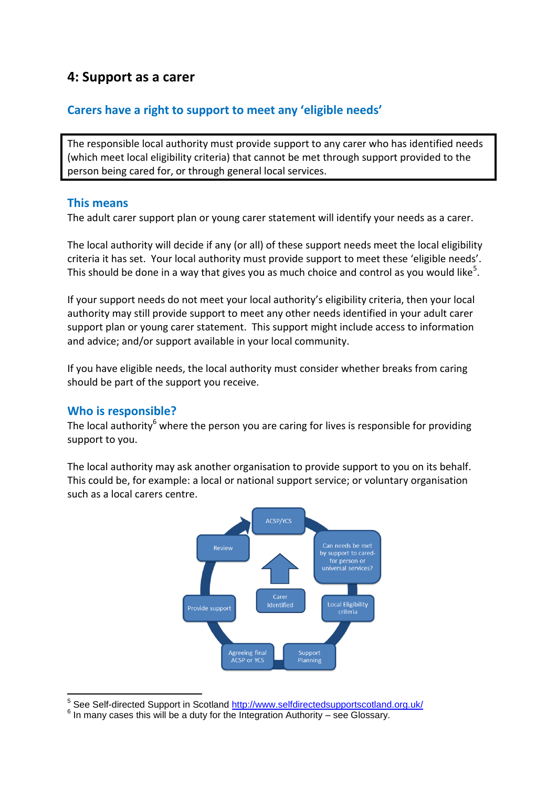## **4: Support as a carer**

## **Carers have a right to support to meet any 'eligible needs'**

The responsible local authority must provide support to any carer who has identified needs (which meet local eligibility criteria) that cannot be met through support provided to the person being cared for, or through general local services.

#### **This means**

The adult carer support plan or young carer statement will identify your needs as a carer.

The local authority will decide if any (or all) of these support needs meet the local eligibility criteria it has set. Your local authority must provide support to meet these 'eligible needs'. This should be done in a way that gives you as much choice and control as you would like<sup>5</sup>.

If your support needs do not meet your local authority's eligibility criteria, then your local authority may still provide support to meet any other needs identified in your adult carer support plan or young carer statement. This support might include access to information and advice; and/or support available in your local community.

If you have eligible needs, the local authority must consider whether breaks from caring should be part of the support you receive.

#### **Who is responsible?**

The local authority<sup>6</sup> where the person you are caring for lives is responsible for providing support to you.

The local authority may ask another organisation to provide support to you on its behalf. This could be, for example: a local or national support service; or voluntary organisation such as a local carers centre.



 5 See Self-directed Support in Scotland<http://www.selfdirectedsupportscotland.org.uk/>

 $6$  In many cases this will be a duty for the Integration Authority – see Glossary.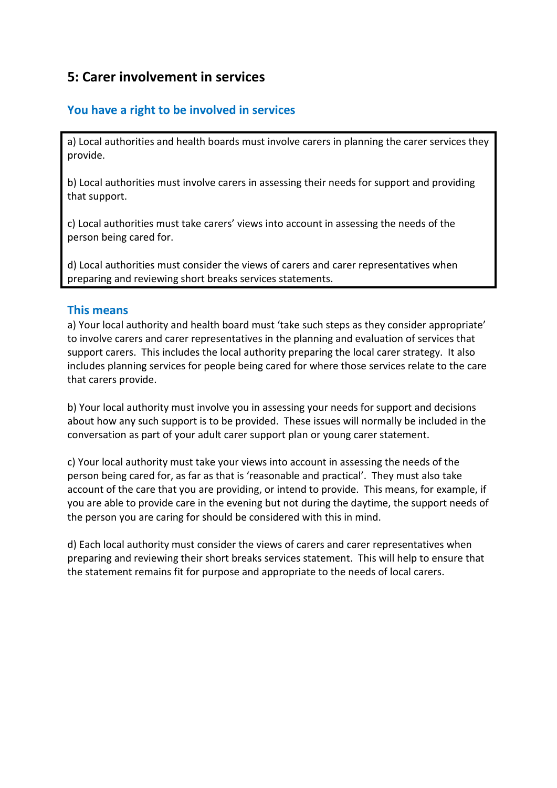## **5: Carer involvement in services**

## **You have a right to be involved in services**

a) Local authorities and health boards must involve carers in planning the carer services they provide.

b) Local authorities must involve carers in assessing their needs for support and providing that support.

c) Local authorities must take carers' views into account in assessing the needs of the person being cared for.

d) Local authorities must consider the views of carers and carer representatives when preparing and reviewing short breaks services statements.

#### **This means**

a) Your local authority and health board must 'take such steps as they consider appropriate' to involve carers and carer representatives in the planning and evaluation of services that support carers. This includes the local authority preparing the local carer strategy. It also includes planning services for people being cared for where those services relate to the care that carers provide.

b) Your local authority must involve you in assessing your needs for support and decisions about how any such support is to be provided. These issues will normally be included in the conversation as part of your adult carer support plan or young carer statement.

c) Your local authority must take your views into account in assessing the needs of the person being cared for, as far as that is 'reasonable and practical'. They must also take account of the care that you are providing, or intend to provide. This means, for example, if you are able to provide care in the evening but not during the daytime, the support needs of the person you are caring for should be considered with this in mind.

d) Each local authority must consider the views of carers and carer representatives when preparing and reviewing their short breaks services statement. This will help to ensure that the statement remains fit for purpose and appropriate to the needs of local carers.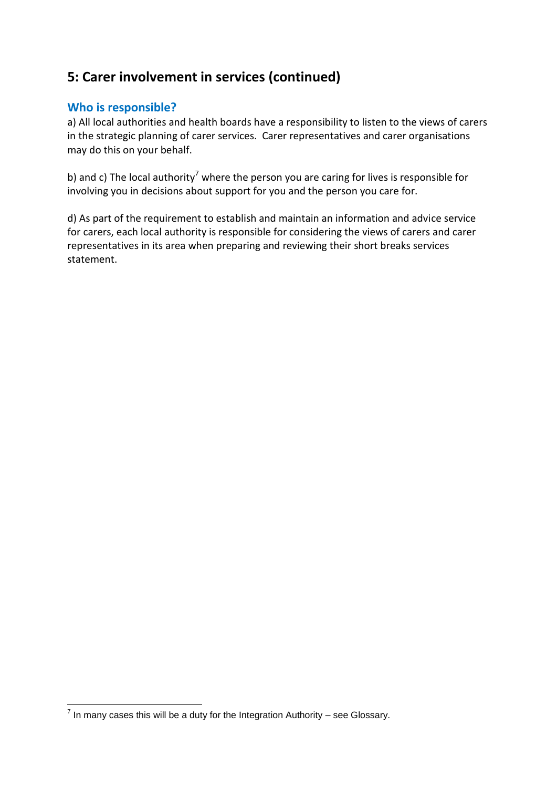## **5: Carer involvement in services (continued)**

#### **Who is responsible?**

a) All local authorities and health boards have a responsibility to listen to the views of carers in the strategic planning of carer services. Carer representatives and carer organisations may do this on your behalf.

b) and c) The local authority<sup>7</sup> where the person you are caring for lives is responsible for involving you in decisions about support for you and the person you care for.

d) As part of the requirement to establish and maintain an information and advice service for carers, each local authority is responsible for considering the views of carers and carer representatives in its area when preparing and reviewing their short breaks services statement.

 7 In many cases this will be a duty for the Integration Authority – see Glossary.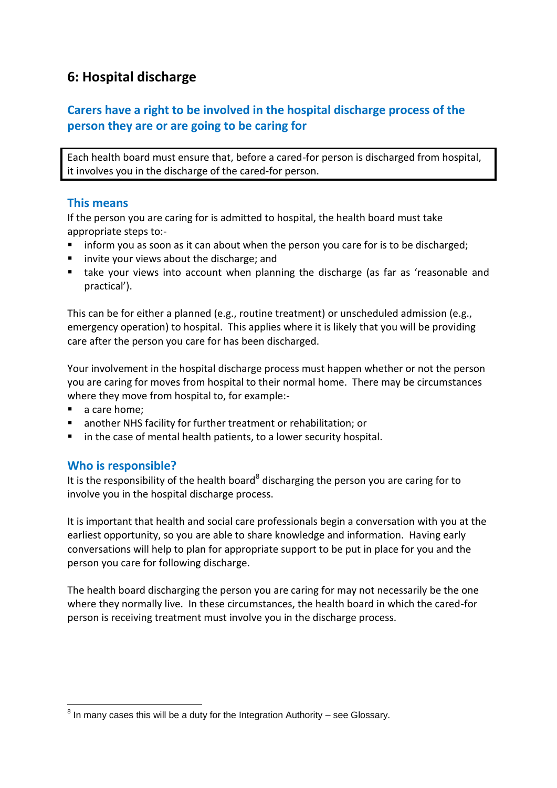## **6: Hospital discharge**

## **Carers have a right to be involved in the hospital discharge process of the person they are or are going to be caring for**

Each health board must ensure that, before a cared-for person is discharged from hospital, it involves you in the discharge of the cared-for person.

#### **This means**

If the person you are caring for is admitted to hospital, the health board must take appropriate steps to:-

- **If all inform you as soon as it can about when the person you care for is to be discharged;**
- **E** invite your views about the discharge; and
- take your views into account when planning the discharge (as far as 'reasonable and practical').

This can be for either a planned (e.g., routine treatment) or unscheduled admission (e.g., emergency operation) to hospital. This applies where it is likely that you will be providing care after the person you care for has been discharged.

Your involvement in the hospital discharge process must happen whether or not the person you are caring for moves from hospital to their normal home. There may be circumstances where they move from hospital to, for example:-

- a care home:
- another NHS facility for further treatment or rehabilitation; or
- **I** in the case of mental health patients, to a lower security hospital.

#### **Who is responsible?**

It is the responsibility of the health board<sup>8</sup> discharging the person you are caring for to involve you in the hospital discharge process.

It is important that health and social care professionals begin a conversation with you at the earliest opportunity, so you are able to share knowledge and information. Having early conversations will help to plan for appropriate support to be put in place for you and the person you care for following discharge.

The health board discharging the person you are caring for may not necessarily be the one where they normally live. In these circumstances, the health board in which the cared-for person is receiving treatment must involve you in the discharge process.

 8 In many cases this will be a duty for the Integration Authority – see Glossary.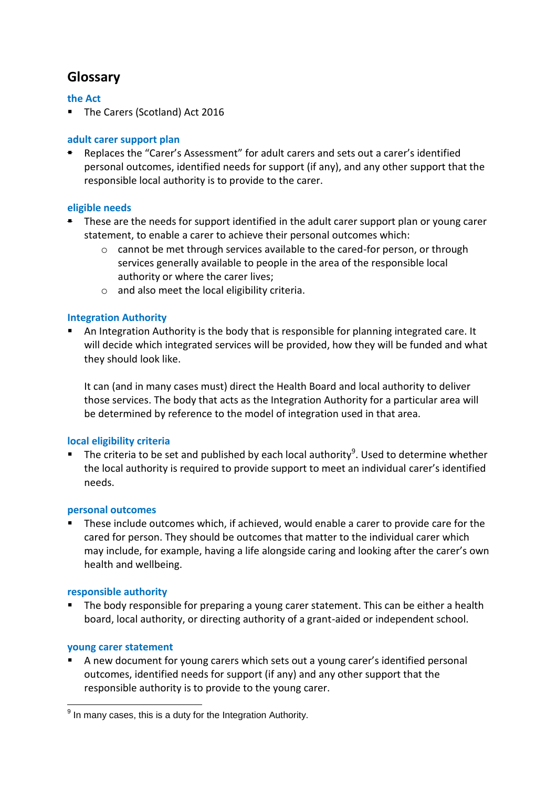## **Glossary**

#### **the Act**

■ The Carers (Scotland) Act 2016

#### **adult carer support plan**

 Replaces the "Carer's Assessment" for adult carers and sets out a carer's identified personal outcomes, identified needs for support (if any), and any other support that the responsible local authority is to provide to the carer.

#### **eligible needs**

- **F** These are the needs for support identified in the adult carer support plan or young carer statement, to enable a carer to achieve their personal outcomes which:
	- $\circ$  cannot be met through services available to the cared-for person, or through services generally available to people in the area of the responsible local authority or where the carer lives;
	- o and also meet the local eligibility criteria.

#### **Integration Authority**

 An Integration Authority is the body that is responsible for planning integrated care. It will decide which integrated services will be provided, how they will be funded and what they should look like.

It can (and in many cases must) direct the Health Board and local authority to deliver those services. The body that acts as the Integration Authority for a particular area will be determined by reference to the model of integration used in that area.

#### **local eligibility criteria**

The criteria to be set and published by each local authority<sup>9</sup>. Used to determine whether the local authority is required to provide support to meet an individual carer's identified needs.

#### **personal outcomes**

 These include outcomes which, if achieved, would enable a carer to provide care for the cared for person. They should be outcomes that matter to the individual carer which may include, for example, having a life alongside caring and looking after the carer's own health and wellbeing.

#### **responsible authority**

 The body responsible for preparing a young carer statement. This can be either a health board, local authority, or directing authority of a grant-aided or independent school.

#### **young carer statement**

 A new document for young carers which sets out a young carer's identified personal outcomes, identified needs for support (if any) and any other support that the responsible authority is to provide to the young carer.

 9 In many cases, this is a duty for the Integration Authority.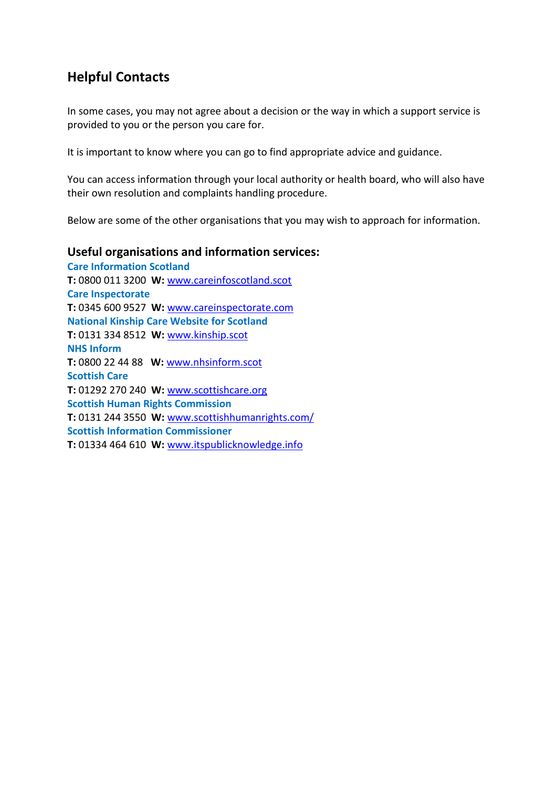## **Helpful Contacts**

In some cases, you may not agree about a decision or the way in which a support service is provided to you or the person you care for.

It is important to know where you can go to find appropriate advice and guidance.

You can access information through your local authority or health board, who will also have their own resolution and complaints handling procedure.

Below are some of the other organisations that you may wish to approach for information.

#### **Useful organisations and information services:**

**Care Information Scotland T:** 0800 011 3200 **W:** [www.careinfoscotland.scot](http://www.careinfoscotland.scot/) **Care Inspectorate T:** 0345 600 9527 **W:** [www.careinspectorate.com](http://www.careinspectorate.com/) **National Kinship Care Website for Scotland T:** 0131 334 8512 **W:** [www.kinship.scot](http://www.kinship.scot/) **NHS Inform T:** 0800 22 44 88 **W:** [www.nhsinform.scot](http://www.nhsinform.scot/) **Scottish Care T:** 01292 270 240 **W:** [www.scottishcare.org](http://www.scottishcare.org/) **Scottish Human Rights Commission T:** 0131 244 3550 **W:** [www.scottishhumanrights.com/](http://www.scottishhumanrights.com/) **Scottish Information Commissioner T:** 01334 464 610 **W:** [www.itspublicknowledge.info](http://www.itspublicknowledge.info/)